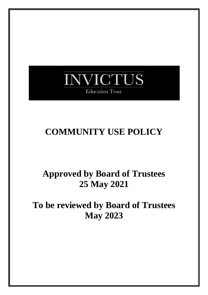# **NVICTUS Education Trust**

# **COMMUNITY USE POLICY**

# **Approved by Board of Trustees 25 May 2021**

# **To be reviewed by Board of Trustees May 2023**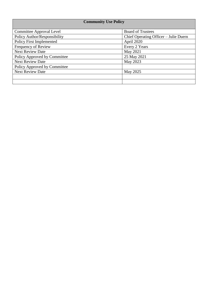| <b>Community Use Policy</b>     |                                       |
|---------------------------------|---------------------------------------|
| Committee Approval Level        | <b>Board of Trustees</b>              |
| Policy Author/Responsibility    | Chief Operating Officer - Julie Duern |
| <b>Policy First Implemented</b> | April 2020                            |
| Frequency of Review             | Every 2 Years                         |
| <b>Next Review Date</b>         | May 2021                              |
| Policy Approved by Committee    | 25 May 2021                           |
| <b>Next Review Date</b>         | May 2023                              |
| Policy Approved by Committee    |                                       |
| <b>Next Review Date</b>         | May 2025                              |
|                                 |                                       |
|                                 |                                       |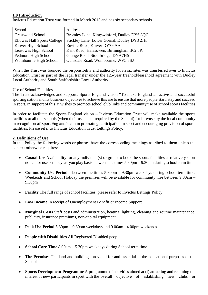#### **1.0 Introduction**

Invictus Education Trust was formed in March 2015 and has six secondary schools.

| School                             | Address                                     |
|------------------------------------|---------------------------------------------|
| <b>Crestwood School</b>            | Bromley Lane, Kingswinford, Dudley DY6 8QG  |
| <b>Ellowes Hall Sports College</b> | Stickley Lane, Lower Gornal, Dudley DY3 2JH |
| Kinver High School                 | Enville Road, Kinver DY7 6AA                |
| Leasowes High School               | Kent Road, Halesowen, Birmingham B62 8PJ    |
| Pedmore High School                | Grange Road, Stourbridge, DY9 7HS           |
| Wombourne High School              | Ounsdale Road, Wombourne, WV5 8BJ           |

When the Trust was founded the responsibility and authority for its six sites was transferred over to Invictus Education Trust as part of the legal transfer under the 125-year freehold/leasehold agreement with Dudley Local Authority and South Staffordshire Local Authority.

#### Use of School Facilities

The Trust acknowledges and supports Sports England vision "To make England an active and successful sporting nation and its business objectives to achieve this are to ensure that more people start, stay and succeed in sport. In support of this, it wishes to promote school club links and community use of school sports facilities

In order to facilitate the Sports England vision – Invictus Education Trust will make available the sports facilities at all our schools (when their use is not required by the School) for hire/use by the local community in recognition of Sport England's aim in promoting participation in sport and encouraging provision of sports facilities. Please refer to Invictus Education Trust Lettings Policy.

#### **2. Definitions of Use**

In this Policy the following words or phrases have the corresponding meanings ascribed to them unless the context otherwise requires:

- **Casual Use** Availability for any individual(s) or group to book the sports facilities at relatively short notice for use on a pay-as-you play basis between the times  $5.30 \text{pm} - 9.30 \text{pm}$  during school term time.
- **Community Use Period** between the times 5.30pm 9.30pm weekdays during school term time. Weekends and School Holiday the premises will be available for community hire between 9.00am – 9.30pm
- **Facility** The full range of school facilities, please refer to Invictus Lettings Policy
- **Low Income** In receipt of Unemployment Benefit or Income Support
- **Marginal Costs** Staff costs and administration, heating, lighting, cleaning and routine maintenance, publicity, insurance premiums, non-capital equipment
- **Peak Use Period** 5.30pm 9.30pm weekdays and 9.00am 4.00pm weekends
- **People with Disabilities** All Registered Disabled people
- **School Core Time** 8.00am 5.30pm weekdays during School term time
- **The Premises** The land and buildings provided for and essential to the educational purposes of the **School**
- **Sports Development Programme** A programme of activities aimed at (i) attracting and retaining the interest of new participants in sport with the overall objective of establishing new clubs or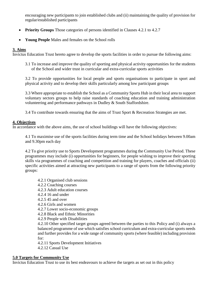encouraging new participants to join established clubs and (ii) maintaining the quality of provision for regular/established participants

- **Priority Groups** Those categories of persons identified in Clauses 4.2.1 to 4.2.7
- **Young People** Males and females on the School rolls

# **3. Aims**

Invictus Education Trust hereto agree to develop the sports facilities in order to pursue the following aims:

3.1 To increase and improve the quality of sporting and physical activity opportunities for the students of the School and wider trust in curricular and extra-curricular sports activities

3.2 To provide opportunities for local people and sports organisations to participate in sport and physical activity and to develop their skills particularly among low participant groups

3.3 Where appropriate to establish the School as a Community Sports Hub in their local area to support voluntary sectors groups to help raise standards of coaching education and training administration volunteering and performance pathways in Dudley & South Staffordshire.

3.4 To contribute towards ensuring that the aims of Trust Sport & Recreation Strategies are met.

## **4. Objectives**

In accordance with the above aims, the use of school buildings will have the following objectives:

4.1 To maximise use of the sports facilities during term time and the School holidays between 9.00am and 9.30pm each day

4.2 To give priority use to Sports Development programmes during the Community Use Period. These programmes may include (i) opportunities for beginners, for people wishing to improve their sporting skills via programmes of coaching and competition and training for players, coaches and officials (ii) specific activities aimed at attracting new participants to a range of sports from the following priority groups:

- 4.2.1 Organised club sessions
- 4.2.2 Coaching courses
- 4.2.3 Adult education courses
- 4.2.4 16 and under
- 4.2.5 45 and over
- 4.2.6 Girls and women
- 4.2.7 Lower socio-economic groups
- 4.2.8 Black and Ethnic Minorities

4.2.9 People with Disabilities

4.2.10 Other specified target groups agreed between the parties to this Policy and (i) always a balanced programme of use which satisfies school curriculum and extra-curricular sports needs and further provides for a wide range of community sports (where feasible) including provision for:

4.2.11 Sports Development Initiatives

4.2.12 Casual Use

### **5.0 Targets for Community Use**

Invictus Education Trust to use its best endeavours to achieve the targets as set out in this policy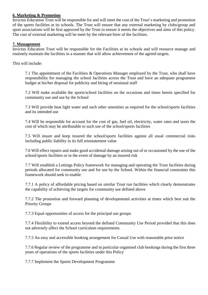### **6. Marketing & Promotion**

Invictus Education Trust will be responsible for and will meet the cost of the Trust's marketing and promotion of the sports facilities at its schools. The Trust will ensure that any external marketing by clubs/group and sport associations will be first approved by the Trust to ensure it meets the objectives and aims of this policy. The cost of external marketing will be meet by the relevant hirer of the facilities.

### **7. Management**

Invictus Education Trust will be responsible for the Facilities at its schools and will resource manage and routinely maintain the facilities in a manner that will allow achievement of the agreed targets.

This will include:

7.1 The appointment of the Facilities & Operations Manager employed by the Trust, who shall have responsibility for managing the school facilities across the Trust and have an adequate programme budget at his/her disposal for publicity and hiring of sessional staff

7.2 Will make available the sports/school facilities on the occasions and times herein specified for community use and use by the School

7.3 Will provide heat light water and such other amenities as required for the school/sports facilities and its intended use

7.4 Will be responsible for account for the cost of gas, fuel oil, electricity, water rates and taxes the cost of which may be attributable to such use of the school/sports facilities

7.5 Will insure and keep insured the school/sports facilities against all usual commercial risks including public liability in its full reinstatement value

7.6 Will effect repairs and make good accidental damage arising out of or occasioned by the use of the school/sports facilities or in the event of damage by an insured risk

7.7 Will establish a Lettings Policy framework for managing and operating the Trust facilities during periods allocated for community use and for use by the School. Within the financial constraints this framework should seek to enable:

7.7.1 A policy of affordable pricing based on similar Trust run facilities which clearly demonstrates the capability of achieving the targets for community use defined above

7.7.2 The promotion and forward planning of developmental activities at times which best suit the Priority Groups

7.7.3 Equal opportunities of access for the principal use groups

7.7.4 Flexibility to extend access beyond the defined Community Use Period provided that this does not adversely affect the School curriculum requirements.

7.7.5 An easy and accessible booking arrangement for Casual Use with reasonable prior notice

7.7.6 Regular review of the programme and in particular organised club bookings during the first three years of operations of the sports facilities under this Policy

7.7.7 Implement the Sports Development Programme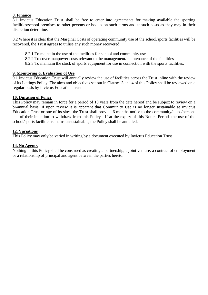#### **8. Finance**

8.1 Invictus Education Trust shall be free to enter into agreements for making available the sporting facilities/school premises to other persons or bodies on such terms and at such costs as they may in their discretion determine.

8.2 Where it is clear that the Marginal Costs of operating community use of the school/sports facilities will be recovered, the Trust agrees to utilise any such money recovered:

- 8.2.1 To maintain the use of the facilities for school and community use
- 8.2.2 To cover manpower costs relevant to the management/maintenance of the facilities
- 8.2.3 To maintain the stock of sports equipment for use in connection with the sports facilities.

#### **9. Monitoring & Evaluation of Use**

9.1 Invictus Education Trust will annually review the use of facilities across the Trust inline with the review of its Lettings Policy. The aims and objectives set out in Clauses 3 and 4 of this Policy shall be reviewed on a regular basis by Invictus Education Trust

#### **10. Duration of Policy**

This Policy may remain in force for a period of 10 years from the date hereof and be subject to review on a bi-annual basis. If upon review it is apparent that Community Use is no longer sustainable at Invictus Education Trust or one of its sites, the Trust shall provide 6 months-notice to the community/clubs/persons etc. of their intention to withdraw from this Policy. If at the expiry of this Notice Period, the use of the school/sports facilities remains unsustainable, the Policy shall be annulled.

#### **12. Variations**

This Policy may only be varied in writing by a document executed by Invictus Education Trust

#### **14. No Agency**

Nothing in this Policy shall be construed as creating a partnership, a joint venture, a contract of employment or a relationship of principal and agent between the parties hereto.